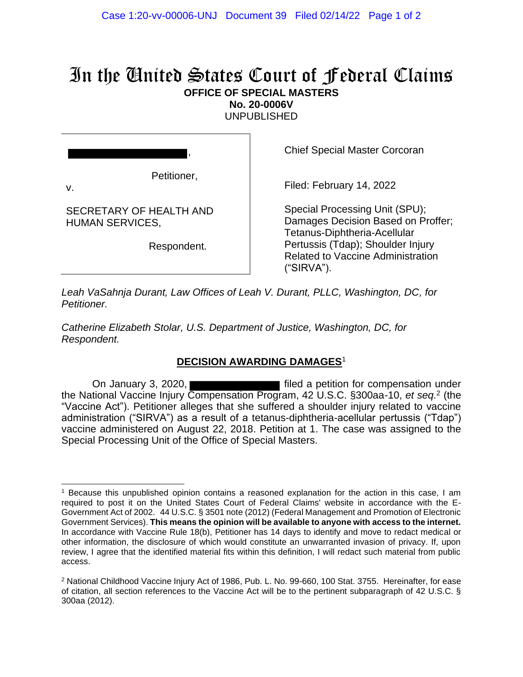## In the United States Court of Federal Claims

**OFFICE OF SPECIAL MASTERS**

**No. 20-0006V** UNPUBLISHED

Petitioner,

,

v.

SECRETARY OF HEALTH AND HUMAN SERVICES,

Respondent.

Chief Special Master Corcoran

Filed: February 14, 2022

Special Processing Unit (SPU); Damages Decision Based on Proffer; Tetanus-Diphtheria-Acellular Pertussis (Tdap); Shoulder Injury Related to Vaccine Administration ("SIRVA").

*Leah VaSahnja Durant, Law Offices of Leah V. Durant, PLLC, Washington, DC, for Petitioner.*

*Catherine Elizabeth Stolar, U.S. Department of Justice, Washington, DC, for Respondent.*

## **DECISION AWARDING DAMAGES**<sup>1</sup>

On January 3, 2020, **Filted a petition for compensation under** filed a petition for compensation under the National Vaccine Injury Compensation Program, 42 U.S.C. §300aa-10, *et seq.* 2 (the "Vaccine Act"). Petitioner alleges that she suffered a shoulder injury related to vaccine administration ("SIRVA") as a result of a tetanus-diphtheria-acellular pertussis ("Tdap") vaccine administered on August 22, 2018. Petition at 1. The case was assigned to the Special Processing Unit of the Office of Special Masters.

<sup>1</sup> Because this unpublished opinion contains a reasoned explanation for the action in this case, I am required to post it on the United States Court of Federal Claims' website in accordance with the E-Government Act of 2002. 44 U.S.C. § 3501 note (2012) (Federal Management and Promotion of Electronic Government Services). **This means the opinion will be available to anyone with access to the internet.** In accordance with Vaccine Rule 18(b), Petitioner has 14 days to identify and move to redact medical or other information, the disclosure of which would constitute an unwarranted invasion of privacy. If, upon review, I agree that the identified material fits within this definition, I will redact such material from public access.

<sup>2</sup> National Childhood Vaccine Injury Act of 1986, Pub. L. No. 99-660, 100 Stat. 3755. Hereinafter, for ease of citation, all section references to the Vaccine Act will be to the pertinent subparagraph of 42 U.S.C. § 300aa (2012).